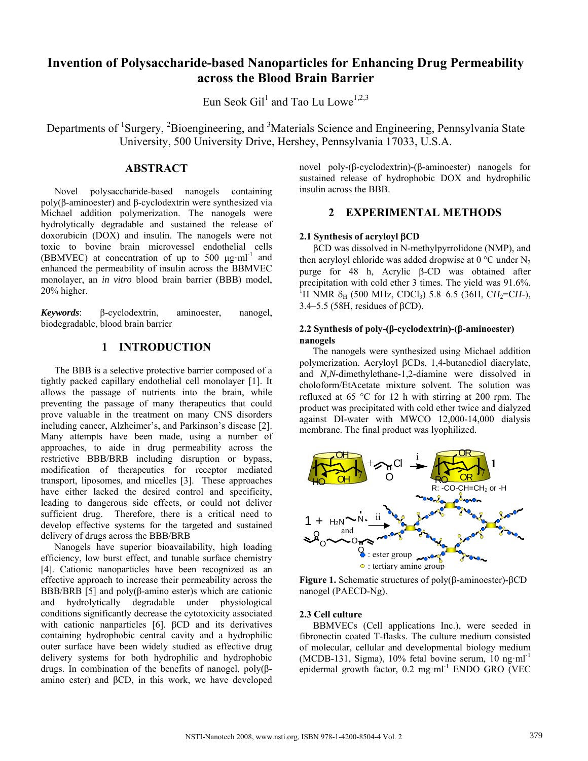# **Invention of Polysaccharide-based Nanoparticles for Enhancing Drug Permeability across the Blood Brain Barrier**

Eun Seok Gil<sup>1</sup> and Tao Lu Lowe<sup>1,2,3</sup>

Departments of <sup>1</sup>Surgery, <sup>2</sup>Bioengineering, and <sup>3</sup>Materials Science and Engineering, Pennsylvania State University, 500 University Drive, Hershey, Pennsylvania 17033, U.S.A.

## **ABSTRACT**

Novel polysaccharide-based nanogels containing poly(β-aminoester) and β-cyclodextrin were synthesized via Michael addition polymerization. The nanogels were hydrolytically degradable and sustained the release of doxorubicin (DOX) and insulin. The nanogels were not toxic to bovine brain microvessel endothelial cells (BBMVEC) at concentration of up to 500  $\mu$ g·ml<sup>-1</sup> and enhanced the permeability of insulin across the BBMVEC monolayer, an *in vitro* blood brain barrier (BBB) model, 20% higher.

*Keywords*: β-cyclodextrin, aminoester, nanogel, biodegradable, blood brain barrier

#### **1 INTRODUCTION**

The BBB is a selective protective barrier composed of a tightly packed capillary endothelial cell monolayer [1]. It allows the passage of nutrients into the brain, while preventing the passage of many therapeutics that could prove valuable in the treatment on many CNS disorders including cancer, Alzheimer's, and Parkinson's disease [2]. Many attempts have been made, using a number of approaches, to aide in drug permeability across the restrictive BBB/BRB including disruption or bypass, modification of therapeutics for receptor mediated transport, liposomes, and micelles [3]. These approaches have either lacked the desired control and specificity, leading to dangerous side effects, or could not deliver sufficient drug. Therefore, there is a critical need to develop effective systems for the targeted and sustained delivery of drugs across the BBB/BRB

Nanogels have superior bioavailability, high loading efficiency, low burst effect, and tunable surface chemistry [4]. Cationic nanoparticles have been recognized as an effective approach to increase their permeability across the BBB/BRB [5] and poly $(\beta$ -amino ester)s which are cationic and hydrolytically degradable under physiological conditions significantly decrease the cytotoxicity associated with cationic nanparticles [6]. βCD and its derivatives containing hydrophobic central cavity and a hydrophilic outer surface have been widely studied as effective drug delivery systems for both hydrophilic and hydrophobic drugs. In combination of the benefits of nanogel, poly(βamino ester) and βCD, in this work, we have developed novel poly-(β-cyclodextrin)-(β-aminoester) nanogels for sustained release of hydrophobic DOX and hydrophilic insulin across the BBB.

# **2 EXPERIMENTAL METHODS**

#### **2.1 Synthesis of acryloyl** β**CD**

βCD was dissolved in N-methylpyrrolidone (NMP), and then acryloyl chloride was added dropwise at  $0^{\circ}$ C under N<sub>2</sub> purge for 48 h, Acrylic β-CD was obtained after precipitation with cold ether 3 times. The yield was 91.6%. <sup>1</sup>H NMR δ<sub>H</sub> (500 MHz, CDCl<sub>3</sub>) 5.8–6.5 (36H, CH<sub>2</sub>=CH-), 3.4–5.5 (58H, residues of βCD).

#### **2.2 Synthesis of poly-(β-cyclodextrin)-(β-aminoester) nanogels**

The nanogels were synthesized using Michael addition polymerization. Acryloyl βCDs, 1,4-butanediol diacrylate, and *N,N*-dimethylethane-1,2-diamine were dissolved in choloform/EtAcetate mixture solvent. The solution was refluxed at 65 °C for 12 h with stirring at 200 rpm. The product was precipitated with cold ether twice and dialyzed against DI-water with MWCO 12,000-14,000 dialysis membrane. The final product was lyophilized.



**Figure 1.** Schematic structures of poly(β-aminoester)-βCD nanogel (PAECD-Ng).

#### **2.3 Cell culture**

BBMVECs (Cell applications Inc.), were seeded in fibronectin coated T-flasks. The culture medium consisted of molecular, cellular and developmental biology medium (MCDB-131, Sigma),  $10\%$  fetal bovine serum,  $10 \text{ ng ml}^{-1}$ epidermal growth factor,  $0.2 \text{ mg} \cdot \text{ml}^{-1}$  ENDO GRO (VEC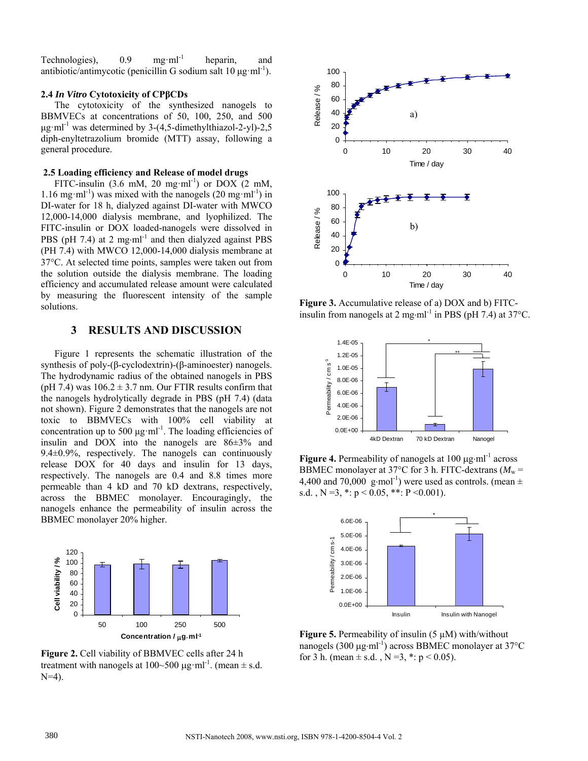Technologies),  $0.9 \text{ mg} \cdot \text{ml}^{-1}$  heparin, and antibiotic/antimycotic (penicillin G sodium salt  $10 \mu$ g·ml<sup>-1</sup>).

#### **2.4** *In Vitro* **Cytotoxicity of CPβCDs**

The cytotoxicity of the synthesized nanogels to BBMVECs at concentrations of 50, 100, 250, and 500  $\mu$ g·ml<sup>-1</sup> was determined by 3-(4,5-dimethylthiazol-2-yl)-2,5 diph-enyltetrazolium bromide (MTT) assay, following a general procedure.

#### **2.5 Loading efficiency and Release of model drugs**

FITC-insulin (3.6 mM, 20 mg·ml<sup>-1</sup>) or DOX (2 mM, 1.16 mg·ml<sup>-1</sup>) was mixed with the nanogels  $(20 \text{ mg} \cdot \text{ml}^{-1})$  in DI-water for 18 h, dialyzed against DI-water with MWCO 12,000-14,000 dialysis membrane, and lyophilized. The FITC-insulin or DOX loaded-nanogels were dissolved in PBS (pH 7.4) at 2 mg⋅ml<sup>-1</sup> and then dialyzed against PBS (PH 7.4) with MWCO 12,000-14,000 dialysis membrane at 37°C. At selected time points, samples were taken out from the solution outside the dialysis membrane. The loading efficiency and accumulated release amount were calculated by measuring the fluorescent intensity of the sample solutions.

## **3 RESULTS AND DISCUSSION**

Figure 1 represents the schematic illustration of the synthesis of poly-(β-cyclodextrin)-(β-aminoester) nanogels. The hydrodynamic radius of the obtained nanogels in PBS (pH 7.4) was  $106.2 \pm 3.7$  nm. Our FTIR results confirm that the nanogels hydrolytically degrade in PBS (pH 7.4) (data not shown). Figure 2 demonstrates that the nanogels are not toxic to BBMVECs with 100% cell viability at concentration up to 500 μg·ml<sup>-1</sup>. The loading efficiencies of insulin and DOX into the nanogels are 86±3% and 9.4±0.9%, respectively. The nanogels can continuously release DOX for 40 days and insulin for 13 days, respectively. The nanogels are 0.4 and 8.8 times more permeable than 4 kD and 70 kD dextrans, respectively, across the BBMEC monolayer. Encouragingly, the nanogels enhance the permeability of insulin across the BBMEC monolayer 20% higher.



**Figure 2.** Cell viability of BBMVEC cells after 24 h treatment with nanogels at  $100~500 \mu g \cdot ml^{-1}$ . (mean  $\pm$  s.d.  $N=4$ ).



**Figure 3.** Accumulative release of a) DOX and b) FITCinsulin from nanogels at 2 mg⋅ml<sup>-1</sup> in PBS (pH 7.4) at 37°C.



**Figure 4.** Permeability of nanogels at 100 μg⋅ml-1 across BBMEC monolayer at 37°C for 3 h. FITC-dextrans ( $M_w$  = 4,400 and 70,000 g⋅mol<sup>-1</sup>) were used as controls. (mean  $\pm$ s.d.,  $N = 3, * : p < 0.05, ** : P < 0.001$ .



**Figure 5.** Permeability of insulin (5 µM) with/without nanogels (300 μg⋅ml<sup>-1</sup>) across BBMEC monolayer at 37°C for 3 h. (mean  $\pm$  s.d., N = 3, \*: p < 0.05).